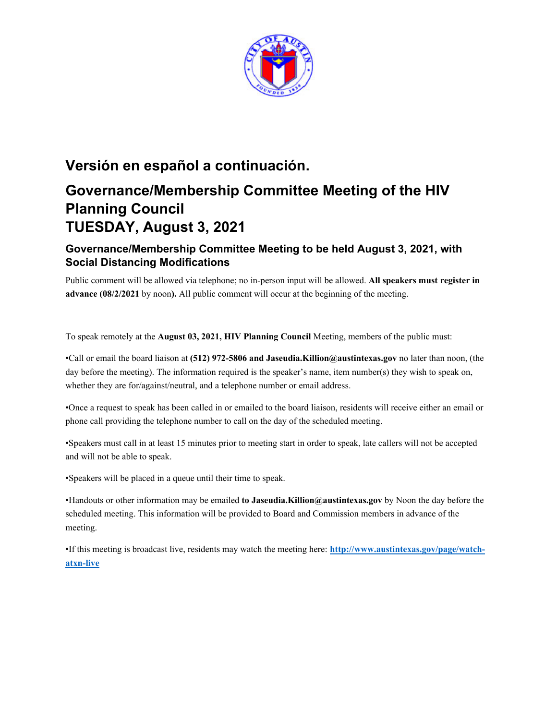

# **Versión en español a continuación.**

# **Governance/Membership Committee Meeting of the HIV Planning Council TUESDAY, August 3, 2021**

# **Governance/Membership Committee Meeting to be held August 3, 2021, with Social Distancing Modifications**

Public comment will be allowed via telephone; no in-person input will be allowed. **All speakers must register in advance (08/2/2021** by noon**).** All public comment will occur at the beginning of the meeting.

To speak remotely at the **August 03, 2021, HIV Planning Council** Meeting, members of the public must:

•Call or email the board liaison at **(512) 972-5806 and Jaseudia.Killion@austintexas.gov** no later than noon, (the day before the meeting). The information required is the speaker's name, item number(s) they wish to speak on, whether they are for/against/neutral, and a telephone number or email address.

•Once a request to speak has been called in or emailed to the board liaison, residents will receive either an email or phone call providing the telephone number to call on the day of the scheduled meeting.

•Speakers must call in at least 15 minutes prior to meeting start in order to speak, late callers will not be accepted and will not be able to speak.

•Speakers will be placed in a queue until their time to speak.

•Handouts or other information may be emailed **to Jaseudia.Killion@austintexas.gov** by Noon the day before the scheduled meeting. This information will be provided to Board and Commission members in advance of the meeting.

•If this meeting is broadcast live, residents may watch the meeting here: **http://www.austintexas.gov/page/watchatxn-live**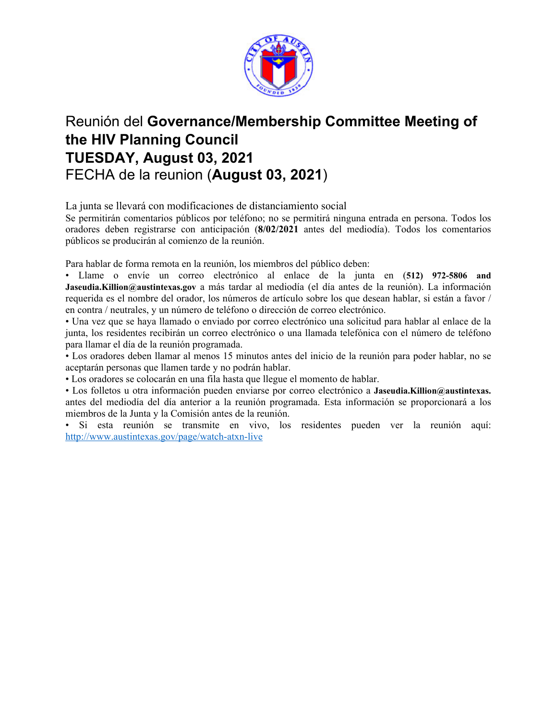

# Reunión del **Governance/Membership Committee Meeting of the HIV Planning Council TUESDAY, August 03, 2021**  FECHA de la reunion (**August 03, 2021**)

La junta se llevará con modificaciones de distanciamiento social

Se permitirán comentarios públicos por teléfono; no se permitirá ninguna entrada en persona. Todos los oradores deben registrarse con anticipación (**8/02/2021** antes del mediodía). Todos los comentarios públicos se producirán al comienzo de la reunión.

Para hablar de forma remota en la reunión, los miembros del público deben:

• Llame o envíe un correo electrónico al enlace de la junta en (**512) 972-5806 and Jaseudia.Killion@austintexas.gov** a más tardar al mediodía (el día antes de la reunión). La información requerida es el nombre del orador, los números de artículo sobre los que desean hablar, si están a favor / en contra / neutrales, y un número de teléfono o dirección de correo electrónico.

• Una vez que se haya llamado o enviado por correo electrónico una solicitud para hablar al enlace de la junta, los residentes recibirán un correo electrónico o una llamada telefónica con el número de teléfono para llamar el día de la reunión programada.

• Los oradores deben llamar al menos 15 minutos antes del inicio de la reunión para poder hablar, no se aceptarán personas que llamen tarde y no podrán hablar.

• Los oradores se colocarán en una fila hasta que llegue el momento de hablar.

• Los folletos u otra información pueden enviarse por correo electrónico a **Jaseudia.Killion@austintexas.** antes del mediodía del día anterior a la reunión programada. Esta información se proporcionará a los miembros de la Junta y la Comisión antes de la reunión.

• Si esta reunión se transmite en vivo, los residentes pueden ver la reunión aquí: http://www.austintexas.gov/page/watch-atxn-live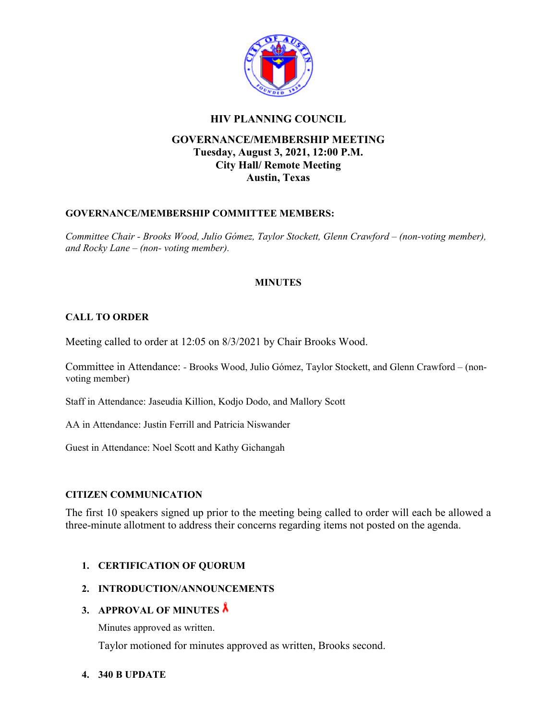

## **HIV PLANNING COUNCIL**

# **GOVERNANCE/MEMBERSHIP MEETING Tuesday, August 3, 2021, 12:00 P.M. City Hall/ Remote Meeting Austin, Texas**

#### **GOVERNANCE/MEMBERSHIP COMMITTEE MEMBERS:**

*Committee Chair - Brooks Wood, Julio Gómez, Taylor Stockett, Glenn Crawford – (non-voting member), and Rocky Lane – (non- voting member).* 

## **MINUTES**

#### **CALL TO ORDER**

Meeting called to order at 12:05 on 8/3/2021 by Chair Brooks Wood.

Committee in Attendance: *-* Brooks Wood, Julio Gómez, Taylor Stockett, and Glenn Crawford – (nonvoting member)

Staff in Attendance: Jaseudia Killion, Kodjo Dodo, and Mallory Scott

AA in Attendance: Justin Ferrill and Patricia Niswander

Guest in Attendance: Noel Scott and Kathy Gichangah

#### **CITIZEN COMMUNICATION**

The first 10 speakers signed up prior to the meeting being called to order will each be allowed a three-minute allotment to address their concerns regarding items not posted on the agenda.

#### **1. CERTIFICATION OF QUORUM**

#### **2. INTRODUCTION/ANNOUNCEMENTS**

#### **3. APPROVAL OF MINUTES**

Minutes approved as written.

Taylor motioned for minutes approved as written, Brooks second.

#### **4. 340 B UPDATE**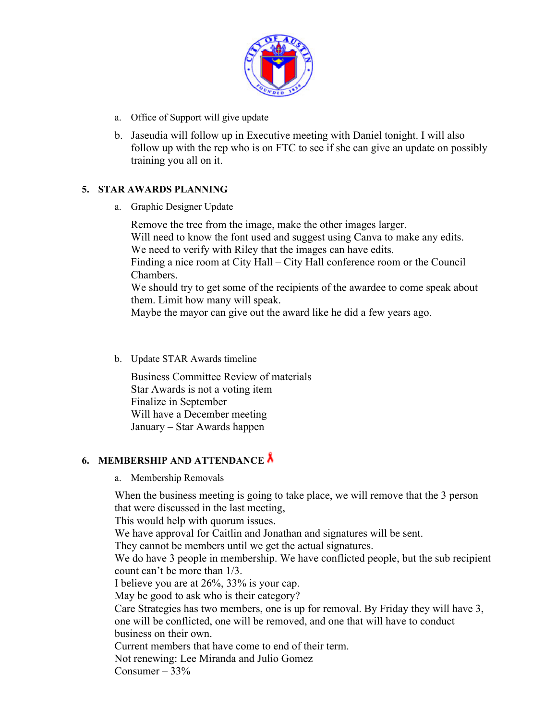

- a. Office of Support will give update
- b. Jaseudia will follow up in Executive meeting with Daniel tonight. I will also follow up with the rep who is on FTC to see if she can give an update on possibly training you all on it.

## **5. STAR AWARDS PLANNING**

a. Graphic Designer Update

Remove the tree from the image, make the other images larger. Will need to know the font used and suggest using Canva to make any edits. We need to verify with Riley that the images can have edits. Finding a nice room at City Hall – City Hall conference room or the Council Chambers. We should try to get some of the recipients of the awardee to come speak about them. Limit how many will speak.

Maybe the mayor can give out the award like he did a few years ago.

b. Update STAR Awards timeline

Business Committee Review of materials Star Awards is not a voting item Finalize in September Will have a December meeting January – Star Awards happen

# **6. MEMBERSHIP AND ATTENDANCE**

a. Membership Removals

When the business meeting is going to take place, we will remove that the 3 person that were discussed in the last meeting,

This would help with quorum issues.

We have approval for Caitlin and Jonathan and signatures will be sent.

They cannot be members until we get the actual signatures.

We do have 3 people in membership. We have conflicted people, but the sub recipient count can't be more than 1/3.

I believe you are at 26%, 33% is your cap.

May be good to ask who is their category?

Care Strategies has two members, one is up for removal. By Friday they will have 3, one will be conflicted, one will be removed, and one that will have to conduct business on their own.

Current members that have come to end of their term.

Not renewing: Lee Miranda and Julio Gomez

Consumer  $-33%$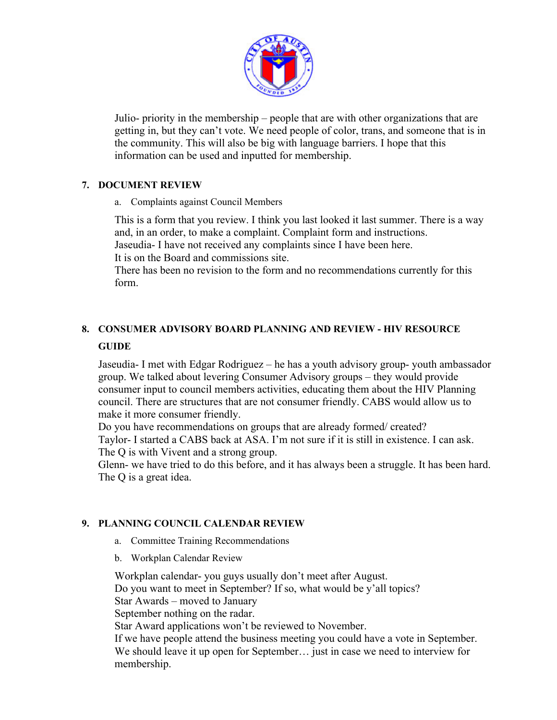

Julio- priority in the membership – people that are with other organizations that are getting in, but they can't vote. We need people of color, trans, and someone that is in the community. This will also be big with language barriers. I hope that this information can be used and inputted for membership.

## **7. DOCUMENT REVIEW**

a. Complaints against Council Members

This is a form that you review. I think you last looked it last summer. There is a way and, in an order, to make a complaint. Complaint form and instructions. Jaseudia- I have not received any complaints since I have been here.

It is on the Board and commissions site.

There has been no revision to the form and no recommendations currently for this form.

# **8. CONSUMER ADVISORY BOARD PLANNING AND REVIEW - HIV RESOURCE GUIDE**

Jaseudia- I met with Edgar Rodriguez – he has a youth advisory group- youth ambassador group. We talked about levering Consumer Advisory groups – they would provide consumer input to council members activities, educating them about the HIV Planning council. There are structures that are not consumer friendly. CABS would allow us to make it more consumer friendly.

Do you have recommendations on groups that are already formed/ created? Taylor- I started a CABS back at ASA. I'm not sure if it is still in existence. I can ask. The Q is with Vivent and a strong group.

Glenn- we have tried to do this before, and it has always been a struggle. It has been hard. The Q is a great idea.

#### **9. PLANNING COUNCIL CALENDAR REVIEW**

- a. Committee Training Recommendations
- b. Workplan Calendar Review

Workplan calendar- you guys usually don't meet after August. Do you want to meet in September? If so, what would be y'all topics? Star Awards – moved to January September nothing on the radar. Star Award applications won't be reviewed to November. If we have people attend the business meeting you could have a vote in September. We should leave it up open for September… just in case we need to interview for membership.